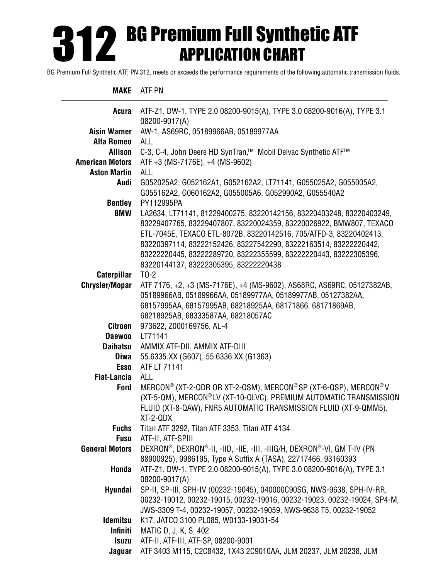# BG Premium Full Synthetic ATF APPLICATION CHART 312

BG Premium Full Synthetic ATF, PN 312, meets or exceeds the performance requirements of the following automatic transmission fluids.

#### **MAKE** ATF PN

| Acura                  | ATF-Z1, DW-1, TYPE 2.0 08200-9015(A), TYPE 3.0 08200-9016(A), TYPE 3.1                                                                 |
|------------------------|----------------------------------------------------------------------------------------------------------------------------------------|
|                        | 08200-9017(A)                                                                                                                          |
| <b>Aisin Warner</b>    | AW-1, AS69RC, 05189966AB, 05189977AA<br>ALL                                                                                            |
| <b>Alfa Romeo</b>      |                                                                                                                                        |
| <b>Allison</b>         | C-3, C-4, John Deere HD SynTran,™ Mobil Delvac Synthetic ATF™                                                                          |
| <b>American Motors</b> | ATF +3 (MS-7176E), +4 (MS-9602)                                                                                                        |
| <b>Aston Martin</b>    | <b>ALL</b>                                                                                                                             |
| Audi                   | G052025A2, G052162A1, G052162A2, LT71141, G055025A2, G055005A2,                                                                        |
|                        | G055162A2, G060162A2, G055005A6, G052990A2, G055540A2                                                                                  |
| <b>Bentley</b>         | PY112995PA                                                                                                                             |
| <b>BMW</b>             | LA2634, LT71141, 81229400275, 83220142156, 83220403248, 83220403249,                                                                   |
|                        | 83229407765, 83229407807, 83220024359, 83220026922, BMW807, TEXACO                                                                     |
|                        | ETL-7045E, TEXACO ETL-8072B, 83220142516, 705/ATFD-3, 83220402413,                                                                     |
|                        | 83220397114, 83222152426, 83227542290, 83222163514, 83222220442,                                                                       |
|                        | 83222220445, 83222289720, 83222355599, 83222220443, 83222305396,                                                                       |
|                        | 83220144137, 83222305395, 83222220438                                                                                                  |
| Caterpillar            | $TO-2$                                                                                                                                 |
| <b>Chrysler/Mopar</b>  | ATF 7176, +2, +3 (MS-7176E), +4 (MS-9602), AS68RC, AS69RC, 05127382AB,                                                                 |
|                        | 05189966AB, 05189966AA, 05189977AA, 05189977AB, 05127382AA,                                                                            |
|                        | 68157995AA, 68157995AB, 68218925AA, 68171866, 68171869AB,                                                                              |
|                        | 68218925AB, 68333587AA, 68218057AC                                                                                                     |
| <b>Citroen</b>         | 973622, Z000169756, AL-4                                                                                                               |
| <b>Daewoo</b>          | LT71141                                                                                                                                |
| <b>Daihatsu</b>        | AMMIX ATF-DII, AMMIX ATF-DIII                                                                                                          |
| Diwa                   | 55.6335.XX (G607), 55.6336.XX (G1363)<br>ATF LT 71141                                                                                  |
| <b>Esso</b>            |                                                                                                                                        |
| <b>Fiat-Lancia</b>     | <b>ALL</b>                                                                                                                             |
| Ford                   | MERCON® (XT-2-QDR OR XT-2-QSM), MERCON® SP (XT-6-QSP), MERCON® V                                                                       |
|                        | (XT-5-QM), MERCON® LV (XT-10-QLVC), PREMIUM AUTOMATIC TRANSMISSION<br>FLUID (XT-8-QAW), FNR5 AUTOMATIC TRANSMISSION FLUID (XT-9-QMM5), |
|                        | XT-2-QDX                                                                                                                               |
| <b>Fuchs</b>           | Titan ATF 3292, Titan ATF 3353, Titan ATF 4134                                                                                         |
| <b>Fuso</b>            | ATF-II, ATF-SPIII                                                                                                                      |
| <b>General Motors</b>  | DEXRON®, DEXRON®-II, -IID, -IIE, -III, -IIIG/H, DEXRON®-VI, GM T-IV (PN                                                                |
|                        | 88900925), 9986195, Type A Suffix A (TASA), 22717466, 93160393                                                                         |
| Honda                  | ATF-Z1, DW-1, TYPE 2.0 08200-9015(A), TYPE 3.0 08200-9016(A), TYPE 3.1                                                                 |
|                        | 08200-9017(A)                                                                                                                          |
| Hyundai                | SP-II, SP-III, SPH-IV (00232-19045), 040000C90SG, NWS-9638, SPH-IV-RR,                                                                 |
|                        | 00232-19012, 00232-19015, 00232-19016, 00232-19023, 00232-19024, SP4-M,                                                                |
|                        | JWS-3309 T-4, 00232-19057, 00232-19059, NWS-9638 T5, 00232-19052                                                                       |
| <b>Idemitsu</b>        | K17, JATCO 3100 PL085, W0133-19031-54                                                                                                  |
| <b>Infiniti</b>        | MATIC D, J, K, S, 402                                                                                                                  |
| <b>Isuzu</b>           | ATF-II, ATF-III, ATF-SP, 08200-9001                                                                                                    |
| Jaguar                 | ATF 3403 M115, C2C8432, 1X43 2C9010AA, JLM 20237, JLM 20238, JLM                                                                       |
|                        |                                                                                                                                        |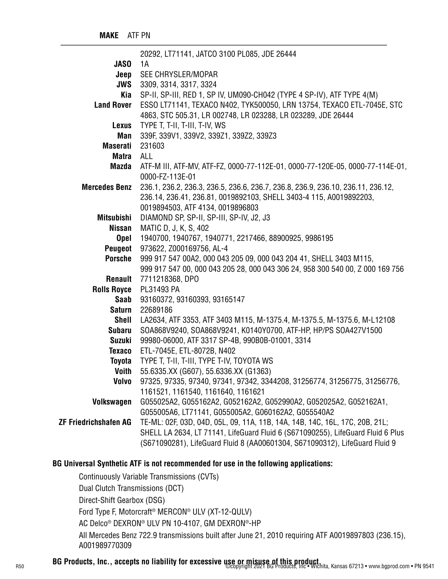|                              | 20292, LT71141, JATCO 3100 PL085, JDE 26444                                     |
|------------------------------|---------------------------------------------------------------------------------|
| <b>JASO</b>                  | 1A                                                                              |
| Jeep                         | SEE CHRYSLER/MOPAR                                                              |
| <b>JWS</b>                   | 3309, 3314, 3317, 3324                                                          |
| Kia                          | SP-II, SP-III, RED 1, SP IV, UM090-CH042 (TYPE 4 SP-IV), ATF TYPE 4(M)          |
| <b>Land Rover</b>            | ESSO LT71141, TEXACO N402, TYK500050, LRN 13754, TEXACO ETL-7045E, STC          |
|                              | 4863, STC 505.31, LR 002748, LR 023288, LR 023289, JDE 26444                    |
| <b>Lexus</b>                 | TYPE T, T-II, T-III, T-IV, WS                                                   |
| Man                          | 339F, 339V1, 339V2, 339Z1, 339Z2, 339Z3                                         |
| <b>Maserati</b>              | 231603                                                                          |
| Matra                        | ALL                                                                             |
| Mazda                        | ATF-M III, ATF-MV, ATF-FZ, 0000-77-112E-01, 0000-77-120E-05, 0000-77-114E-01,   |
|                              | 0000-FZ-113E-01                                                                 |
| <b>Mercedes Benz</b>         | 236.1, 236.2, 236.3, 236.5, 236.6, 236.7, 236.8, 236.9, 236.10, 236.11, 236.12, |
|                              | 236.14, 236.41, 236.81, 0019892103, SHELL 3403-4 115, A0019892203,              |
|                              | 0019894503, ATF 4134, 0019896803                                                |
| <b>Mitsubishi</b>            | DIAMOND SP, SP-II, SP-III, SP-IV, J2, J3                                        |
| <b>Nissan</b>                | MATIC D, J, K, S, 402                                                           |
| <b>Opel</b>                  | 1940700, 1940767, 1940771, 2217466, 88900925, 9986195                           |
| Peugeot                      | 973622, Z000169756, AL-4                                                        |
| <b>Porsche</b>               | 999 917 547 00A2, 000 043 205 09, 000 043 204 41, SHELL 3403 M115,              |
|                              | 999 917 547 00, 000 043 205 28, 000 043 306 24, 958 300 540 00, Z 000 169 756   |
| Renault                      | 7711218368, DPO                                                                 |
| <b>Rolls Royce</b>           | PL31493 PA                                                                      |
| Saab                         | 93160372, 93160393, 93165147                                                    |
| Saturn                       | 22689186                                                                        |
| <b>Shell</b>                 | LA2634, ATF 3353, ATF 3403 M115, M-1375.4, M-1375.5, M-1375.6, M-L12108         |
| <b>Subaru</b>                | SOA868V9240, SOA868V9241, K0140Y0700, ATF-HP, HP/PS SOA427V1500                 |
| <b>Suzuki</b>                | 99980-06000, ATF 3317 SP-4B, 990B0B-01001, 3314                                 |
| <b>Texaco</b>                | ETL-7045E, ETL-8072B, N402                                                      |
| Toyota                       | TYPE T, T-II, T-III, TYPE T-IV, TOYOTA WS                                       |
| <b>Voith</b>                 | 55.6335.XX (G607), 55.6336.XX (G1363)                                           |
| <b>Volvo</b>                 | 97325, 97335, 97340, 97341, 97342, 3344208, 31256774, 31256775, 31256776,       |
|                              | 1161521, 1161540, 1161640, 1161621                                              |
| Volkswagen                   | G055025A2, G055162A2, G052162A2, G052990A2, G052025A2, G052162A1,               |
|                              | G055005A6, LT71141, G055005A2, G060162A2, G055540A2                             |
| <b>ZF Friedrichshafen AG</b> | TE-ML: 02F, 03D, 04D, 05L, 09, 11A, 11B, 14A, 14B, 14C, 16L, 17C, 20B, 21L;     |
|                              | SHELL LA 2634, LT 71141, LifeGuard Fluid 6 (S671090255), LifeGuard Fluid 6 Plus |
|                              | (S671090281), LifeGuard Fluid 8 (AA00601304, S671090312), LifeGuard Fluid 9     |

# **BG Universal Synthetic ATF is not recommended for use in the following applications:**

 Continuously Variable Transmissions (CVTs) Dual Clutch Transmissions (DCT) Direct-Shift Gearbox (DSG) Ford Type F, Motorcraft® MERCON® ULV (XT-12-QULV) AC Delco® DEXRON® ULV PN 10-4107, GM DEXRON®-HP All Mercedes Benz 722.9 transmissions built after June 21, 2010 requiring ATF A0019897803 (236.15), A001989770309

R50 **BG Products, Inc., accepts no liability for excessive use or misuse of this product.**<br>R50 **BG Products, Inc., accepts no liability for excessive use or misuse of this products, Inc. Wichita, Kansas 67213 • www.bgprod.**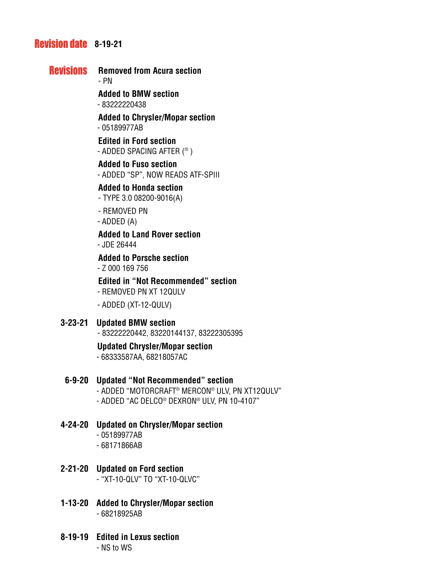# **Revision date 8-19-21**

# **Revisions** Removed from Acura section

- PN

**Added to BMW section**

- 83222220438

**Added to Chrysler/Mopar section** - 05189977AB

**Edited in Ford section** - ADDED SPACING AFTER (® )

**Added to Fuso section** - ADDED "SP", NOW READS ATF-SPIII

**Added to Honda section**

- TYPE 3.0 08200-9016(A)

- REMOVED PN

- ADDED (A)

**Added to Land Rover section**

- JDE 26444

**Added to Porsche section**

- Z 000 169 756

**Edited in "Not Recommended" section**

- REMOVED PN XT 12QULV

- ADDED (XT-12-QULV)

# **3-23-21 Updated BMW section**

- 83222220442, 83220144137, 83222305395

# **Updated Chrysler/Mopar section**

- 68333587AA, 68218057AC

# **6-9-20 Updated "Not Recommended" section**

 - ADDED "MOTORCRAFT® MERCON® ULV, PN XT12QULV" - ADDED "AC DELCO® DEXRON® ULV, PN 10-4107"

- **4-24-20 Updated on Chrysler/Mopar section**
	- 05189977AB
	- 68171866AB
- **2-21-20 Updated on Ford section** - "XT-10-QLV" TO "XT-10-QLVC"
- **1-13-20 Added to Chrysler/Mopar section** - 68218925AB
- **8-19-19 Edited in Lexus section**

- NS to WS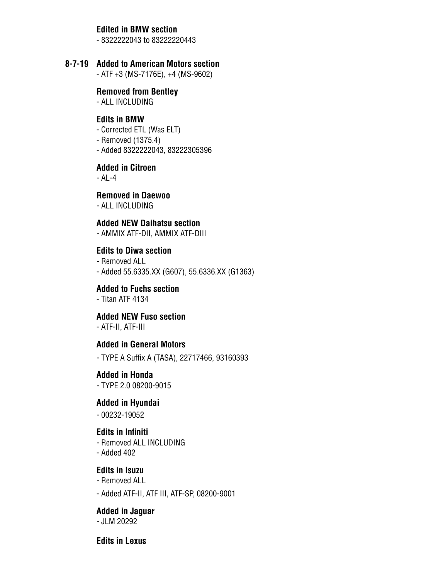#### **Edited in BMW section**

- 8322222043 to 83222220443

#### **8-7-19 Added to American Motors section**

- ATF +3 (MS-7176E), +4 (MS-9602)

#### **Removed from Bentley**

- ALL INCLUDING

#### **Edits in BMW**

- Corrected ETL (Was ELT)
- Removed (1375.4)
- Added 8322222043, 83222305396

#### **Added in Citroen**

- AL-4

#### **Removed in Daewoo**

- ALL INCLUDING

# **Added NEW Daihatsu section**

- AMMIX ATF-DII, AMMIX ATF-DIII

### **Edits to Diwa section**

- Removed ALL
- Added 55.6335.XX (G607), 55.6336.XX (G1363)

#### **Added to Fuchs section**

- Titan ATF 4134

#### **Added NEW Fuso section**

- ATF-II, ATF-III

#### **Added in General Motors**

- TYPE A Suffix A (TASA), 22717466, 93160393

#### **Added in Honda**

- TYPE 2.0 08200-9015

### **Added in Hyundai**

- 00232-19052

#### **Edits in Infiniti**

- Removed ALL INCLUDING
- Added 402

#### **Edits in Isuzu**

- Removed ALL
- Added ATF-II, ATF III, ATF-SP, 08200-9001

#### **Added in Jaguar**  - JLM 20292

#### **Edits in Lexus**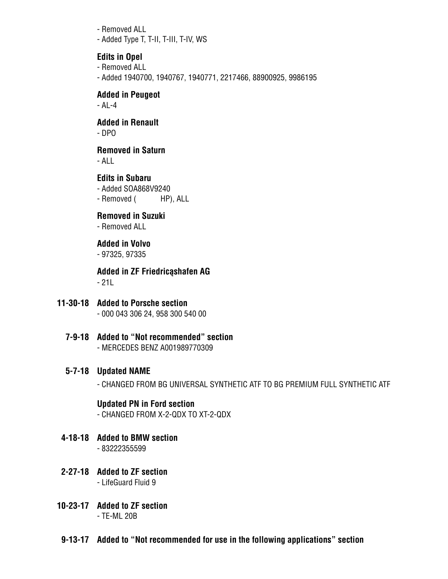- Removed ALL
- Added Type T, T-II, T-III, T-IV, WS

# **Edits in Opel**

- Removed ALL
- Added 1940700, 1940767, 1940771, 2217466, 88900925, 9986195

# **Added in Peugeot**

- AL-4

# **Added in Renault**

- DPO

# **Removed in Saturn**

- ALL

# **Edits in Subaru** - Added SOA868V9240

- Removed ( HP), ALL

# **Removed in Suzuki**

- Removed ALL

# **Added in Volvo**

- 97325, 97335

### **Added in ZF Friedricąshafen AG** - 21L

#### **11-30-18 Added to Porsche section** - 000 043 306 24, 958 300 540 00

**7-9-18 Added to "Not recommended" section** - MERCEDES BENZ A001989770309

# **5-7-18 Updated NAME**

- CHANGED FROM BG UNIVERSAL SYNTHETIC ATF TO BG PREMIUM FULL SYNTHETIC ATF

# **Updated PN in Ford section**

- CHANGED FROM X-2-QDX TO XT-2-QDX

- **4-18-18 Added to BMW section**
	- 83222355599
- **2-27-18 Added to ZF section** - LifeGuard Fluid 9
- **10-23-17 Added to ZF section** - TE-ML 20B
- **9-13-17 Added to "Not recommended for use in the following applications" section**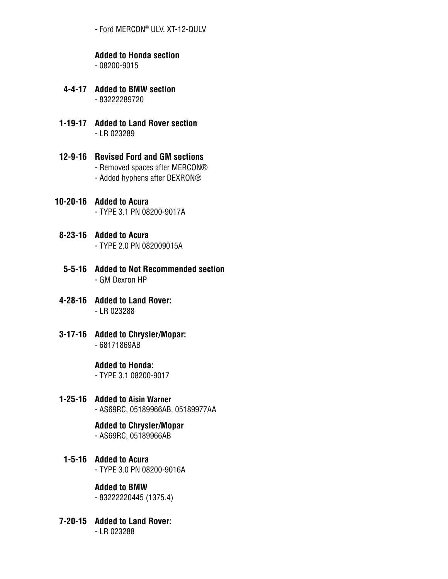- Ford MERCON® ULV, XT-12-QULV

# **Added to Honda section**

- 08200-9015

- **4-4-17 Added to BMW section** - 83222289720
- **1-19-17 Added to Land Rover section** - LR 023289
- **12-9-16 Revised Ford and GM sections** - Removed spaces after MERCON® - Added hyphens after DEXRON®
- **10-20-16 Added to Acura** - TYPE 3.1 PN 08200-9017A
- **8-23-16 Added to Acura** - TYPE 2.0 PN 082009015A
- **5-5-16 Added to Not Recommended section** - GM Dexron HP
- **4-28-16 Added to Land Rover:** - LR 023288
- **3-17-16 Added to Chrysler/Mopar:** - 68171869AB

# **Added to Honda:**

- TYPE 3.1 08200-9017

**1-25-16 Added to Aisin Warner**

- AS69RC, 05189966AB, 05189977AA

# **Added to Chrysler/Mopar**

- AS69RC, 05189966AB

**1-5-16 Added to Acura**

- TYPE 3.0 PN 08200-9016A

# **Added to BMW**

- 83222220445 (1375.4)

**7-20-15 Added to Land Rover:** - LR 023288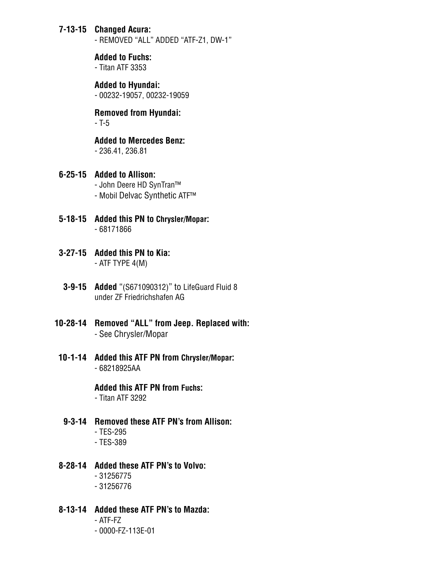# **7-13-15 Changed Acura:**

- REMOVED "ALL" ADDED "ATF-Z1, DW-1"

 **Added to Fuchs:** - Titan ATF 3353

#### **Added to Hyundai:**

- 00232-19057, 00232-19059

#### **Removed from Hyundai:** - T-5

 **Added to Mercedes Benz:**

- 236.41, 236.81

### **6-25-15 Added to Allison:**

 - John Deere HD SynTran™ - Mobil Delvac Synthetic ATF™

- **5-18-15 Added this PN to Chrysler/Mopar:** - 68171866
- **3-27-15 Added this PN to Kia:** - ATF TYPE 4(M)
- **3-9-15 Added** "(S671090312)" to LifeGuard Fluid 8 under ZF Friedrichshafen AG
- **10-28-14 Removed "ALL" from Jeep. Replaced with:** - See Chrysler/Mopar
- **10-1-14 Added this ATF PN from Chrysler/Mopar:** - 68218925AA

 **Added this ATF PN from Fuchs:**

- Titan ATF 3292

# **9-3-14 Removed these ATF PN's from Allison:**

- TES-295
- TES-389
- **8-28-14 Added these ATF PN's to Volvo:**
	- 31256775
	- 31256776

# **8-13-14 Added these ATF PN's to Mazda:**

- ATF-FZ
- 0000-FZ-113E-01